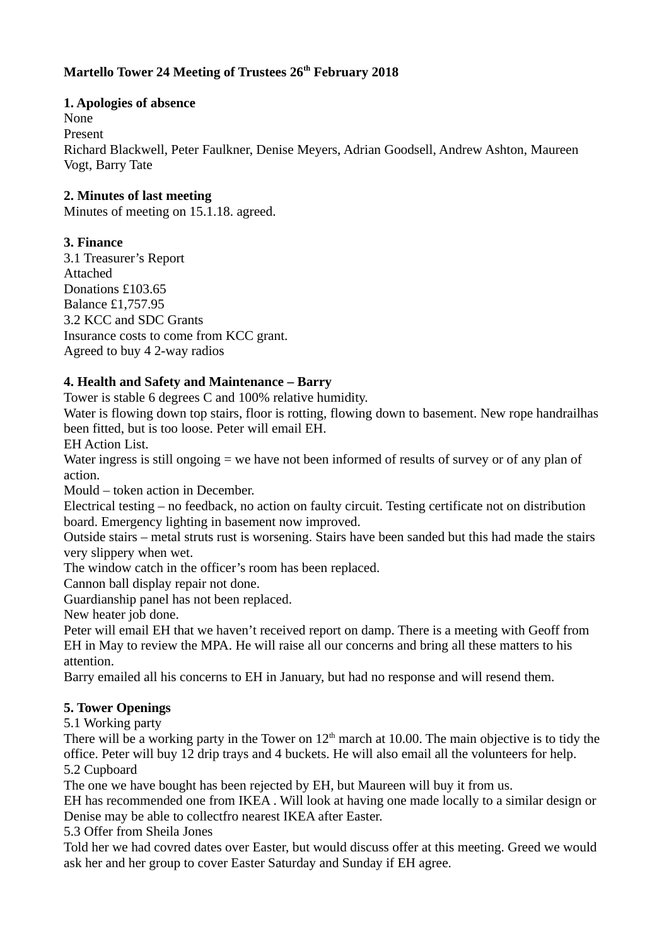# **Martello Tower 24 Meeting of Trustees 26th February 2018**

# **1. Apologies of absence**

None Present

Richard Blackwell, Peter Faulkner, Denise Meyers, Adrian Goodsell, Andrew Ashton, Maureen Vogt, Barry Tate

# **2. Minutes of last meeting**

Minutes of meeting on 15.1.18. agreed.

### **3. Finance**

3.1 Treasurer's Report Attached Donations £103.65 Balance £1,757.95 3.2 KCC and SDC Grants Insurance costs to come from KCC grant. Agreed to buy 4 2-way radios

### **4. Health and Safety and Maintenance – Barry**

Tower is stable 6 degrees C and 100% relative humidity.

Water is flowing down top stairs, floor is rotting, flowing down to basement. New rope handrailhas been fitted, but is too loose. Peter will email EH.

EH Action List.

Water ingress is still ongoing = we have not been informed of results of survey or of any plan of action.

Mould – token action in December.

Electrical testing – no feedback, no action on faulty circuit. Testing certificate not on distribution board. Emergency lighting in basement now improved.

Outside stairs – metal struts rust is worsening. Stairs have been sanded but this had made the stairs very slippery when wet.

The window catch in the officer's room has been replaced.

Cannon ball display repair not done.

Guardianship panel has not been replaced.

New heater job done.

Peter will email EH that we haven't received report on damp. There is a meeting with Geoff from EH in May to review the MPA. He will raise all our concerns and bring all these matters to his attention.

Barry emailed all his concerns to EH in January, but had no response and will resend them.

#### **5. Tower Openings**

5.1 Working party

There will be a working party in the Tower on  $12<sup>th</sup>$  march at 10.00. The main objective is to tidy the office. Peter will buy 12 drip trays and 4 buckets. He will also email all the volunteers for help. 5.2 Cupboard

The one we have bought has been rejected by EH, but Maureen will buy it from us.

EH has recommended one from IKEA . Will look at having one made locally to a similar design or Denise may be able to collectfro nearest IKEA after Easter.

5.3 Offer from Sheila Jones

Told her we had covred dates over Easter, but would discuss offer at this meeting. Greed we would ask her and her group to cover Easter Saturday and Sunday if EH agree.